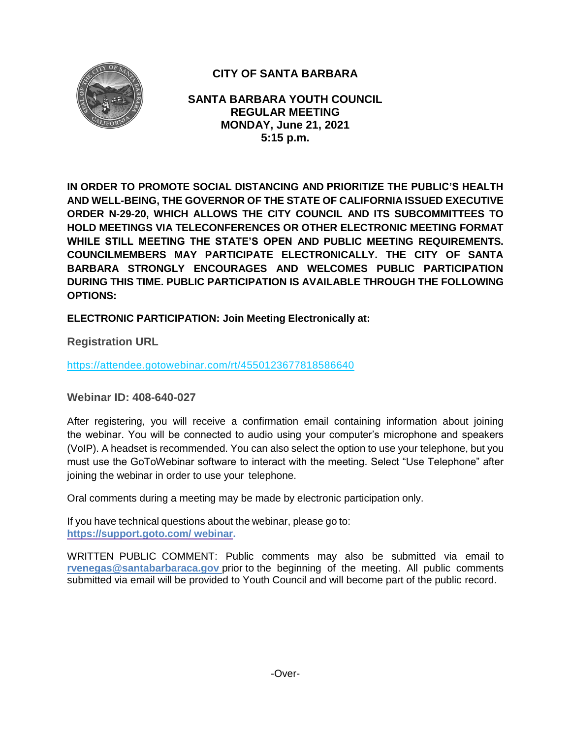

# **CITY OF SANTA BARBARA**

**SANTA BARBARA YOUTH COUNCIL REGULAR MEETING MONDAY, June 21, 2021 5:15 p.m.**

**IN ORDER TO PROMOTE SOCIAL DISTANCING AND PRIORITIZE THE PUBLIC'S HEALTH AND WELL-BEING, THE GOVERNOR OF THE STATE OF CALIFORNIA ISSUED EXECUTIVE ORDER N-29-20, WHICH ALLOWS THE CITY COUNCIL AND ITS SUBCOMMITTEES TO HOLD MEETINGS VIA TELECONFERENCES OR OTHER ELECTRONIC MEETING FORMAT WHILE STILL MEETING THE STATE'S OPEN AND PUBLIC MEETING REQUIREMENTS. COUNCILMEMBERS MAY PARTICIPATE ELECTRONICALLY. THE CITY OF SANTA BARBARA STRONGLY ENCOURAGES AND WELCOMES PUBLIC PARTICIPATION DURING THIS TIME. PUBLIC PARTICIPATION IS AVAILABLE THROUGH THE FOLLOWING OPTIONS:**

**ELECTRONIC PARTICIPATION: Join Meeting Electronically at:** 

**Registration URL** 

<https://attendee.gotowebinar.com/rt/4550123677818586640>

**Webinar ID: 408-640-027**

After registering, you will receive a confirmation email containing information about joining the webinar. You will be connected to audio using your computer's microphone and speakers (VoIP). A headset is recommended. You can also select the option to use your telephone, but you must use the GoToWebinar software to interact with the meeting. Select "Use Telephone" after joining the webinar in order to use your telephone.

Oral comments during a meeting may be made by electronic participation only.

If you have technical questions about the webinar, please go to: **https://support.goto.com/ webinar.**

[WRITTEN PUBLIC COMMENT:](mailto:rvenegas@santabarbaraca.gov) Public comments may also be submitted via email to **[rvenegas@santabarbaraca.gov](mailto:rvenegas@santabarbaraca.gov)** prior to the beginning of the meeting. All public comments submitted via email will be provided to Youth Council and will become part of the public record.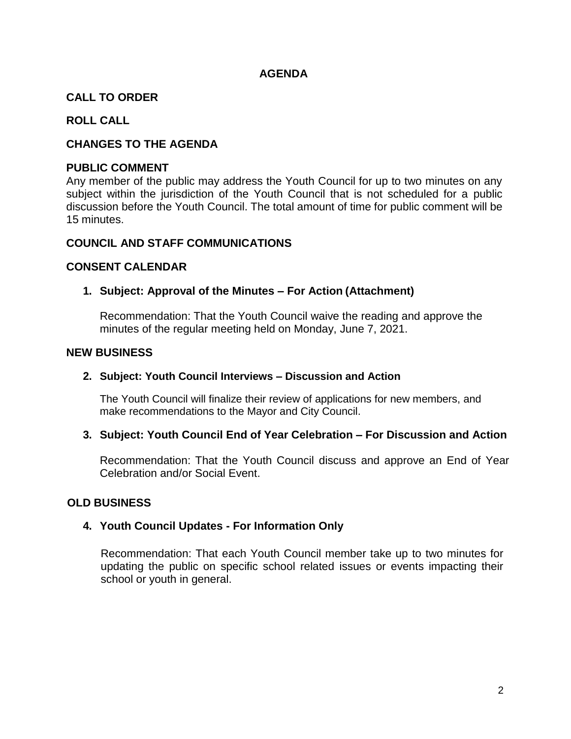#### **AGENDA**

# **CALL TO ORDER**

# **ROLL CALL**

# **CHANGES TO THE AGENDA**

#### **PUBLIC COMMENT**

Any member of the public may address the Youth Council for up to two minutes on any subject within the jurisdiction of the Youth Council that is not scheduled for a public discussion before the Youth Council. The total amount of time for public comment will be 15 minutes.

#### **COUNCIL AND STAFF COMMUNICATIONS**

#### **CONSENT CALENDAR**

# **1. Subject: Approval of the Minutes – For Action (Attachment)**

Recommendation: That the Youth Council waive the reading and approve the minutes of the regular meeting held on Monday, June 7, 2021.

#### **NEW BUSINESS**

#### **2. Subject: Youth Council Interviews – Discussion and Action**

The Youth Council will finalize their review of applications for new members, and make recommendations to the Mayor and City Council.

# **3. Subject: Youth Council End of Year Celebration – For Discussion and Action**

Recommendation: That the Youth Council discuss and approve an End of Year Celebration and/or Social Event.

# **OLD BUSINESS**

# **4. Youth Council Updates - For Information Only**

Recommendation: That each Youth Council member take up to two minutes for updating the public on specific school related issues or events impacting their school or youth in general.